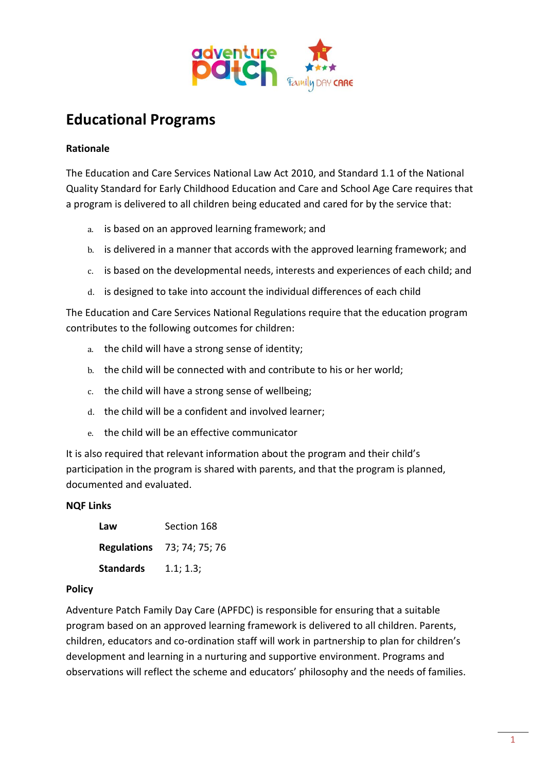

# **Educational Programs**

# **Rationale**

The Education and Care Services National Law Act 2010, and Standard 1.1 of the National Quality Standard for Early Childhood Education and Care and School Age Care requires that a program is delivered to all children being educated and cared for by the service that:

- a. is based on an approved learning framework; and
- b. is delivered in a manner that accords with the approved learning framework; and
- c. is based on the developmental needs, interests and experiences of each child; and
- d. is designed to take into account the individual differences of each child

The Education and Care Services National Regulations require that the education program contributes to the following outcomes for children:

- a. the child will have a strong sense of identity;
- b. the child will be connected with and contribute to his or her world;
- c. the child will have a strong sense of wellbeing;
- d. the child will be a confident and involved learner;
- e. the child will be an effective communicator

It is also required that relevant information about the program and their child's participation in the program is shared with parents, and that the program is planned, documented and evaluated.

## **NQF Links**

| Law              | Section 168                       |
|------------------|-----------------------------------|
|                  | <b>Regulations</b> 73; 74; 75; 76 |
| <b>Standards</b> | 1.1; 1.3;                         |

## **Policy**

Adventure Patch Family Day Care (APFDC) is responsible for ensuring that a suitable program based on an approved learning framework is delivered to all children. Parents, children, educators and co-ordination staff will work in partnership to plan for children's development and learning in a nurturing and supportive environment. Programs and observations will reflect the scheme and educators' philosophy and the needs of families.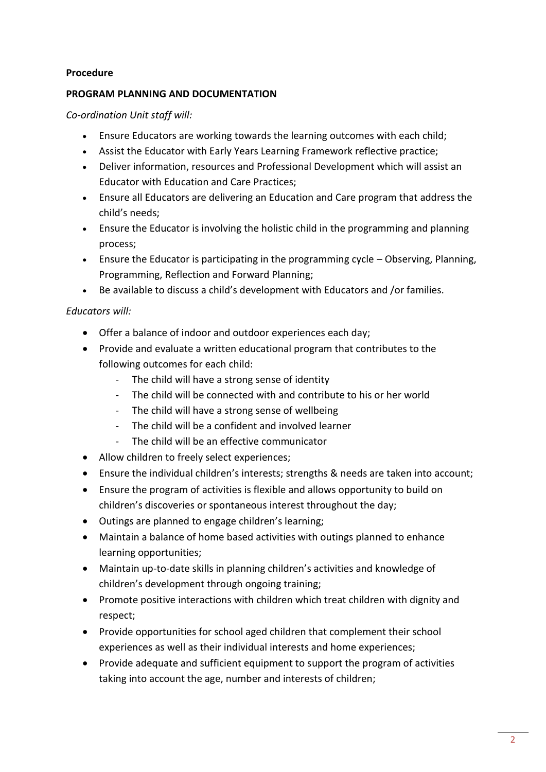## **Procedure**

#### **PROGRAM PLANNING AND DOCUMENTATION**

*Co-ordination Unit staff will:*

- Ensure Educators are working towards the learning outcomes with each child;
- Assist the Educator with Early Years Learning Framework reflective practice;
- Deliver information, resources and Professional Development which will assist an Educator with Education and Care Practices;
- Ensure all Educators are delivering an Education and Care program that address the child's needs;
- Ensure the Educator is involving the holistic child in the programming and planning process;
- Ensure the Educator is participating in the programming cycle Observing, Planning, Programming, Reflection and Forward Planning;
- Be available to discuss a child's development with Educators and /or families.

# *Educators will:*

- Offer a balance of indoor and outdoor experiences each day;
- Provide and evaluate a written educational program that contributes to the following outcomes for each child:
	- The child will have a strong sense of identity
	- The child will be connected with and contribute to his or her world
	- The child will have a strong sense of wellbeing
	- The child will be a confident and involved learner
	- The child will be an effective communicator
- Allow children to freely select experiences;
- Ensure the individual children's interests; strengths & needs are taken into account;
- Ensure the program of activities is flexible and allows opportunity to build on children's discoveries or spontaneous interest throughout the day;
- Outings are planned to engage children's learning;
- Maintain a balance of home based activities with outings planned to enhance learning opportunities;
- Maintain up-to-date skills in planning children's activities and knowledge of children's development through ongoing training;
- Promote positive interactions with children which treat children with dignity and respect;
- Provide opportunities for school aged children that complement their school experiences as well as their individual interests and home experiences;
- Provide adequate and sufficient equipment to support the program of activities taking into account the age, number and interests of children;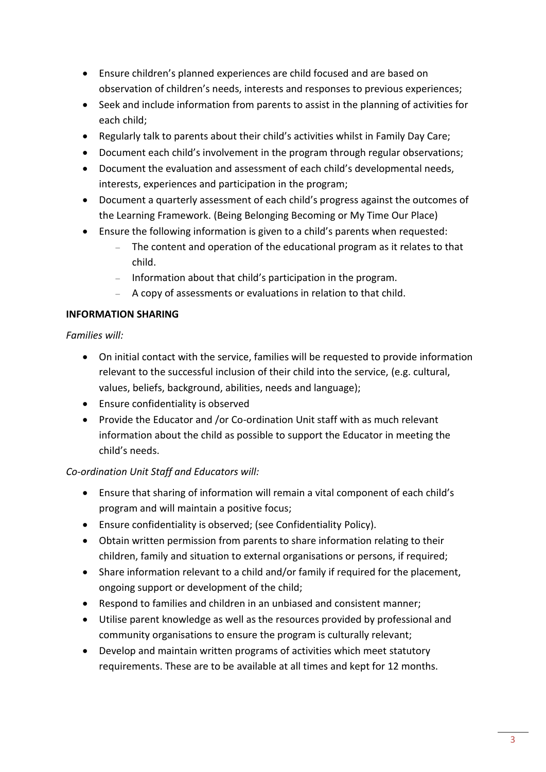- Ensure children's planned experiences are child focused and are based on observation of children's needs, interests and responses to previous experiences;
- Seek and include information from parents to assist in the planning of activities for each child;
- Regularly talk to parents about their child's activities whilst in Family Day Care;
- Document each child's involvement in the program through regular observations;
- Document the evaluation and assessment of each child's developmental needs, interests, experiences and participation in the program;
- Document a quarterly assessment of each child's progress against the outcomes of the Learning Framework. (Being Belonging Becoming or My Time Our Place)
- Ensure the following information is given to a child's parents when requested:
	- The content and operation of the educational program as it relates to that child.
	- Information about that child's participation in the program.
	- A copy of assessments or evaluations in relation to that child.

# **INFORMATION SHARING**

*Families will:*

- On initial contact with the service, families will be requested to provide information relevant to the successful inclusion of their child into the service, (e.g. cultural, values, beliefs, background, abilities, needs and language);
- Ensure confidentiality is observed
- Provide the Educator and /or Co-ordination Unit staff with as much relevant information about the child as possible to support the Educator in meeting the child's needs.

# *Co-ordination Unit Staff and Educators will:*

- Ensure that sharing of information will remain a vital component of each child's program and will maintain a positive focus;
- Ensure confidentiality is observed; (see Confidentiality Policy).
- Obtain written permission from parents to share information relating to their children, family and situation to external organisations or persons, if required;
- Share information relevant to a child and/or family if required for the placement, ongoing support or development of the child;
- Respond to families and children in an unbiased and consistent manner;
- Utilise parent knowledge as well as the resources provided by professional and community organisations to ensure the program is culturally relevant;
- Develop and maintain written programs of activities which meet statutory requirements. These are to be available at all times and kept for 12 months.